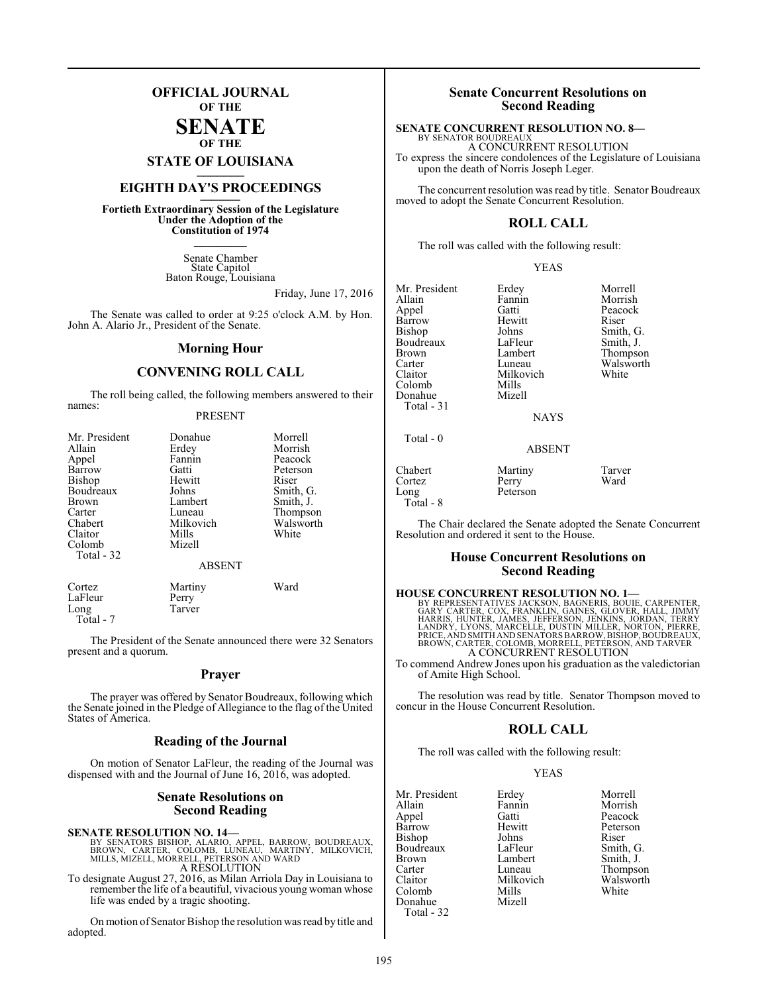## **OFFICIAL JOURNAL OF THE**

#### **SENATE OF THE**

**STATE OF LOUISIANA \_\_\_\_\_\_\_**

## **EIGHTH DAY'S PROCEEDINGS \_\_\_\_\_\_\_**

**Fortieth Extraordinary Session of the Legislature Under the Adoption of the Constitution of 1974 \_\_\_\_\_\_\_**

> Senate Chamber State Capitol Baton Rouge, Louisiana

> > Friday, June 17, 2016

The Senate was called to order at 9:25 o'clock A.M. by Hon. John A. Alario Jr., President of the Senate.

#### **Morning Hour**

### **CONVENING ROLL CALL**

The roll being called, the following members answered to their names:

#### PRESENT

| Mr. President<br>Allain<br>Appel<br>Barrow<br>Bishop<br>Boudreaux<br><b>Brown</b><br>Carter | Donahue<br>Erdey<br>Fannin<br>Gatti<br>Hewitt<br>Johns<br>Lambert<br>Luneau | Morrell<br>Morrish<br>Peacock<br>Peterson<br>Riser<br>Smith, G.<br>Smith, J.<br>Thompson |
|---------------------------------------------------------------------------------------------|-----------------------------------------------------------------------------|------------------------------------------------------------------------------------------|
| Chabert                                                                                     | Milkovich                                                                   | Walsworth                                                                                |
| Claitor<br>Colomb                                                                           | Mills<br>Mizell                                                             | White                                                                                    |
| Total - 32                                                                                  |                                                                             |                                                                                          |
|                                                                                             | <b>ABSENT</b>                                                               |                                                                                          |
| Cortez<br>LaFleur<br>Long                                                                   | Martiny<br>Perry<br>Tarver                                                  | Ward                                                                                     |

Total - 7

The President of the Senate announced there were 32 Senators present and a quorum.

#### **Prayer**

The prayer was offered by Senator Boudreaux, following which the Senate joined in the Pledge of Allegiance to the flag of the United States of America.

#### **Reading of the Journal**

On motion of Senator LaFleur, the reading of the Journal was dispensed with and the Journal of June 16, 2016, was adopted.

#### **Senate Resolutions on Second Reading**

**SENATE RESOLUTION NO. 14—**<br>BY SENATORS BISHOP, ALARIO, APPEL, BARROW, BOUDREAUX,<br>BROWN, CARTER, COLOMB, LUNEAU, MARTINY, MILKOVICH,<br>MILLS, MIZELL, MORRELL, PETERSON AND WARD A RESOLUTION

To designate August 27, 2016, as Milan Arriola Day in Louisiana to remember the life of a beautiful, vivacious young woman whose life was ended by a tragic shooting.

On motion of Senator Bishop the resolution was read by title and adopted.

#### **Senate Concurrent Resolutions on Second Reading**

#### **SENATE CONCURRENT RESOLUTION NO. 8—** BY SENATOR BOUDREAUX

A CONCURRENT RESOLUTION To express the sincere condolences of the Legislature of Louisiana upon the death of Norris Joseph Leger.

The concurrent resolution was read by title. Senator Boudreaux moved to adopt the Senate Concurrent Resolution.

#### **ROLL CALL**

The roll was called with the following result:

#### YEAS

Mr. President Erdey Morrell<br>
Allain Fannin Morrish Allain Fannin<br>Appel Gatti Appel Gatti Peacock Barrow Hewitt<br>Bishop Johns Boudreaux LaFleur<br>Brown Lambert Brown Lambert Thompson<br>Carter Luneau Walsworth Carter Luneau Walsworth<br>Claitor Milkovich White Colomb Mills<br>Donahue Mizell Donahue Total - 31 Total - 0

Cortez Perry<br>Long Peters

Total - 8

Milkovich<br>Mills

Johns Smith, G.<br>LaFleur Smith, J.

**NAYS** 

ABSENT

Chabert Martiny Tarver

The Chair declared the Senate adopted the Senate Concurrent Resolution and ordered it sent to the House.

#### **House Concurrent Resolutions on Second Reading**

#### **HOUSE CONCURRENT RESOLUTION NO. 1—**

Peterson

BY REPRESENTATIVES JACKSON, BAGNERIS, BOUIE, CARPENTER,<br>GARY CARTER, COX, FRANKLIN, GAINES, GLOVER, HALL, JIMMY<br>HARRIS, HUNTER, JAMES, JEFFERSON, JENKINS, JORDAN, TERRY<br>LANDRY, LYONS, MARCELLE, DUSTIN MILLER, NORTON, PIERR PRICE, AND SMITH AND SENATORSBARROW,BISHOP,BOUDREAUX, BROWN, CARTER, COLOMB, MORRELL, PETERSON, AND TARVER A CONCURRENT RESOLUTION

To commend Andrew Jones upon his graduation as the valedictorian of Amite High School.

The resolution was read by title. Senator Thompson moved to concur in the House Concurrent Resolution.

#### **ROLL CALL**

The roll was called with the following result:

#### YEAS

|           | Morrell         |
|-----------|-----------------|
| Fannin    | Morrish         |
| Gatti     | Peacock         |
| Hewitt    | Peterson        |
| Johns     | Riser           |
| LaFleur   | Smith, G.       |
| Lambert   | Smith, J.       |
| Luneau    | <b>Thompson</b> |
| Milkovich | Walswort        |
| Mills     | White           |
| Mizell    |                 |
|           |                 |
|           | Erdey           |

Thompson Walsworth<br>White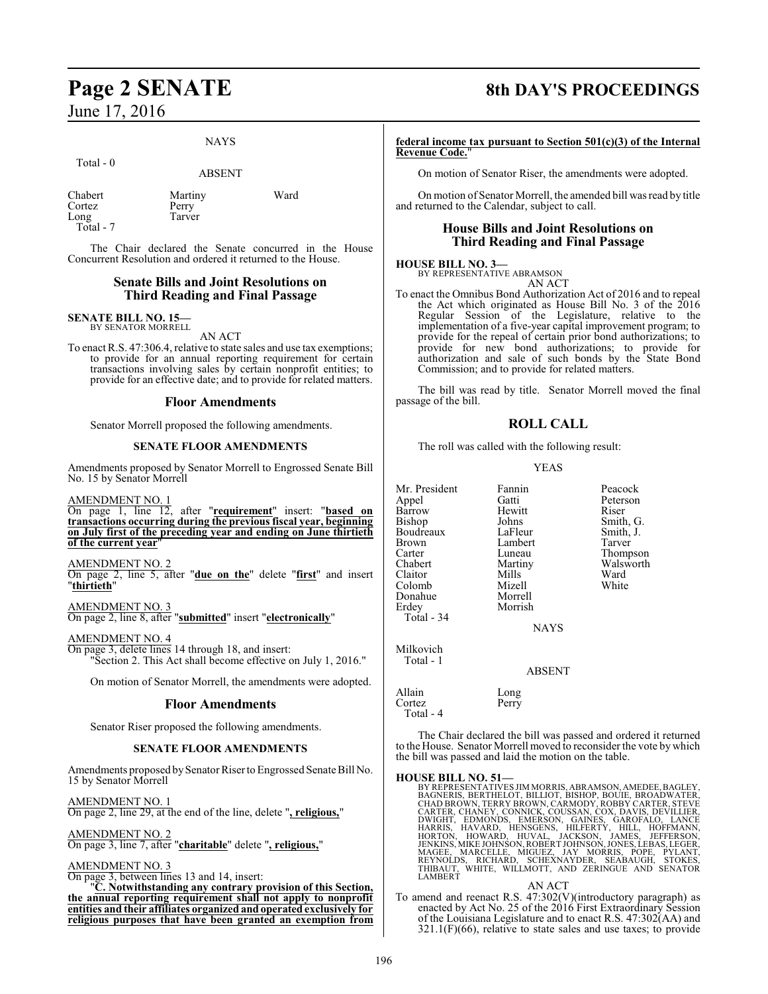# June 17, 2016

#### NAYS

Total - 0

ABSENT

| Chabert   | Martiny | Ward |
|-----------|---------|------|
| Cortez    | Perry   |      |
| Long      | Tarver  |      |
| Total - 7 |         |      |

The Chair declared the Senate concurred in the House Concurrent Resolution and ordered it returned to the House.

#### **Senate Bills and Joint Resolutions on Third Reading and Final Passage**

#### **SENATE BILL NO. 15—** BY SENATOR MORRELL

AN ACT

To enact R.S. 47:306.4, relative to state sales and use tax exemptions; to provide for an annual reporting requirement for certain transactions involving sales by certain nonprofit entities; to provide for an effective date; and to provide for related matters.

#### **Floor Amendments**

Senator Morrell proposed the following amendments.

#### **SENATE FLOOR AMENDMENTS**

Amendments proposed by Senator Morrell to Engrossed Senate Bill No. 15 by Senator Morrell

AMENDMENT NO. 1

On page 1, line 12, after "**requirement**" insert: "**based on transactions occurring during the previous fiscal year, beginning on July first of the preceding year and ending on June thirtieth of the current year**"

AMENDMENT NO. 2

On page 2, line 5, after "**due on the**" delete "**first**" and insert "**thirtieth**"

AMENDMENT NO. 3 On page 2, line 8, after "**submitted**" insert "**electronically**"

#### AMENDMENT NO. 4

On page 3, delete lines 14 through 18, and insert: "Section 2. This Act shall become effective on July 1, 2016."

On motion of Senator Morrell, the amendments were adopted.

#### **Floor Amendments**

Senator Riser proposed the following amendments.

#### **SENATE FLOOR AMENDMENTS**

Amendments proposed by Senator Riser to Engrossed Senate Bill No. 15 by Senator Morrell

AMENDMENT NO. 1 On page 2, line 29, at the end of the line, delete "**, religious,**"

AMENDMENT NO. 2 On page 3, line 7, after "**charitable**" delete "**, religious,**"

AMENDMENT NO. 3

On page 3, between lines 13 and 14, insert:

"**C. Notwithstanding any contrary provision of this Section, the annual reporting requirement shall not apply to nonprofit entities and their affiliates organized and operated exclusively for religious purposes that have been granted an exemption from**

## **Page 2 SENATE 8th DAY'S PROCEEDINGS**

**federal income tax pursuant to Section 501(c)(3) of the Internal Revenue Code.**"

On motion of Senator Riser, the amendments were adopted.

On motion of Senator Morrell, the amended bill was read by title and returned to the Calendar, subject to call.

#### **House Bills and Joint Resolutions on Third Reading and Final Passage**

#### **HOUSE BILL NO. 3—**

BY REPRESENTATIVE ABRAMSON AN ACT

To enact the Omnibus Bond Authorization Act of 2016 and to repeal the Act which originated as House Bill No. 3 of the 2016 Regular Session of the Legislature, relative to the implementation of a five-year capital improvement program; to provide for the repeal of certain prior bond authorizations; to provide for new bond authorizations; to provide for authorization and sale of such bonds by the State Bond Commission; and to provide for related matters.

The bill was read by title. Senator Morrell moved the final passage of the bill.

#### **ROLL CALL**

The roll was called with the following result:

#### YEAS

| Mr. President<br>Appel<br>Barrow<br>Bishop<br>Boudreaux<br><b>Brown</b><br>Carter<br>Chabert<br>Claitor<br>Colomb<br>Donahue<br>Erdey<br>Total - 34 | Fannin<br>Gatti<br>Hewitt<br>Johns<br>LaFleur<br>Lambert<br>Luneau<br>Martiny<br>Mills<br>Mizell<br>Morrell<br>Morrish<br><b>NAYS</b> | Peacock<br>Peterson<br>Riser<br>Smith, G.<br>Smith, J.<br>Tarver<br>Thompson<br>Walsworth<br>Ward<br>White |
|-----------------------------------------------------------------------------------------------------------------------------------------------------|---------------------------------------------------------------------------------------------------------------------------------------|------------------------------------------------------------------------------------------------------------|
| Milkovich<br>Total - 1                                                                                                                              | ABSENT                                                                                                                                |                                                                                                            |
| Allain<br>Cortez<br>Total - 4                                                                                                                       | Long<br>Perry                                                                                                                         |                                                                                                            |

The Chair declared the bill was passed and ordered it returned to the House. Senator Morrell moved to reconsider the vote by which the bill was passed and laid the motion on the table.

#### **HOUSE BILL NO. 51—**

BY REPRESENTATIVES JIM MORRIS, ABRAMSON, AMEDEE, BAGLEY, BAGNERIS, BERTHELOT, BILIOT, BISHOP, BOUIE, BROADWATER, CHAD BROWN, TERRY BROWN, CARMODY, ROBBY CARTER, STEVE CARTER, CHANEY, CONNICK, COUSSAN, COX, DAVIS, DEVILLIER

#### AN ACT

To amend and reenact R.S. 47:302(V)(introductory paragraph) as enacted by Act No. 25 of the 2016 First Extraordinary Session of the Louisiana Legislature and to enact R.S. 47:302(AA) and  $321.1(F)(66)$ , relative to state sales and use taxes; to provide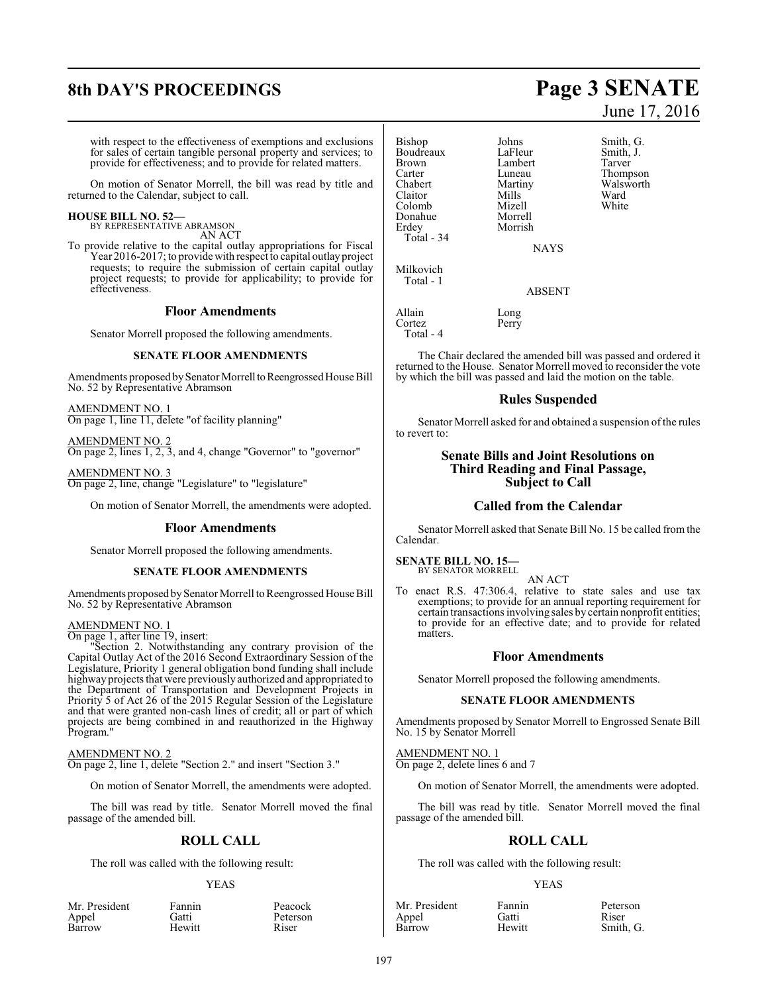# **8th DAY'S PROCEEDINGS Page 3 SENATE**

with respect to the effectiveness of exemptions and exclusions for sales of certain tangible personal property and services; to provide for effectiveness; and to provide for related matters.

On motion of Senator Morrell, the bill was read by title and returned to the Calendar, subject to call.

#### **HOUSE BILL NO. 52—**

BY REPRESENTATIVE ABRAMSON AN ACT

To provide relative to the capital outlay appropriations for Fiscal Year 2016-2017; to provide with respect to capital outlay project requests; to require the submission of certain capital outlay project requests; to provide for applicability; to provide for effectiveness.

#### **Floor Amendments**

Senator Morrell proposed the following amendments.

#### **SENATE FLOOR AMENDMENTS**

Amendments proposed by Senator Morrell to Reengrossed House Bill No. 52 by Representative Abramson

AMENDMENT NO. 1 On page 1, line 11, delete "of facility planning"

AMENDMENT NO. 2 On page 2, lines 1, 2, 3, and 4, change "Governor" to "governor"

AMENDMENT NO. 3 On page 2, line, change "Legislature" to "legislature"

On motion of Senator Morrell, the amendments were adopted.

#### **Floor Amendments**

Senator Morrell proposed the following amendments.

#### **SENATE FLOOR AMENDMENTS**

Amendments proposed by Senator Morrell to Reengrossed House Bill No. 52 by Representative Abramson

#### AMENDMENT NO. 1

On page 1, after line 19, insert:

"Section 2. Notwithstanding any contrary provision of the Capital Outlay Act of the 2016 Second Extraordinary Session of the Legislature, Priority 1 general obligation bond funding shall include highway projects that were previously authorized and appropriated to the Department of Transportation and Development Projects in Priority 5 of Act 26 of the 2015 Regular Session of the Legislature and that were granted non-cash lines of credit; all or part of which projects are being combined in and reauthorized in the Highway Program."

#### AMENDMENT NO. 2

On page 2, line 1, delete "Section 2." and insert "Section 3."

On motion of Senator Morrell, the amendments were adopted.

The bill was read by title. Senator Morrell moved the final passage of the amended bill.

#### **ROLL CALL**

The roll was called with the following result:

#### YEAS

Peterson<br>Riser

| Mr. Presiden |  |  |
|--------------|--|--|
| Appel        |  |  |
| Barrow       |  |  |

nt Fannin Peacock<br>Gatti Peterson Hewitt

Bishop Johns Smith, G.<br>Boudreaux LaFleur Smith, J. Boudreaux LaFleur Smith,<br>Brown Lambert Tarver Brown Lambert<br>Carter Luneau Carter Luneau Thompson<br>Chabert Martiny Walsworth Claitor Mills Ward<br>Colomb Mizell White Colomb Mizell<br>Donahue Morrell Donahue<br>Erdey Total - 34 Milkovich Total - 1 Allain Long<br>Cortez Perry

Cortez Total - 4 Morrish

Martiny Walsworth<br>
Mills Ward

The Chair declared the amended bill was passed and ordered it returned to the House. Senator Morrell moved to reconsider the vote by which the bill was passed and laid the motion on the table.

**NAYS** 

ABSENT

#### **Rules Suspended**

Senator Morrell asked for and obtained a suspension of the rules to revert to:

#### **Senate Bills and Joint Resolutions on Third Reading and Final Passage, Subject to Call**

#### **Called from the Calendar**

Senator Morrell asked that Senate Bill No. 15 be called fromthe Calendar.

**SENATE BILL NO. 15—** BY SENATOR MORRELL

#### AN ACT

To enact R.S. 47:306.4, relative to state sales and use tax exemptions; to provide for an annual reporting requirement for certain transactions involving sales by certain nonprofit entities; to provide for an effective date; and to provide for related matters.

#### **Floor Amendments**

Senator Morrell proposed the following amendments.

#### **SENATE FLOOR AMENDMENTS**

Amendments proposed by Senator Morrell to Engrossed Senate Bill No. 15 by Senator Morrell

AMENDMENT NO. 1 On page 2, delete lines 6 and 7

On motion of Senator Morrell, the amendments were adopted.

The bill was read by title. Senator Morrell moved the final passage of the amended bill.

#### **ROLL CALL**

The roll was called with the following result:

#### YEAS

| Fannin |
|--------|
| Gatti  |
| Hewitt |
|        |

Mr. President Fannin Peterson<br>
Appel Gatti Riser Smith, G.

# June 17, 2016